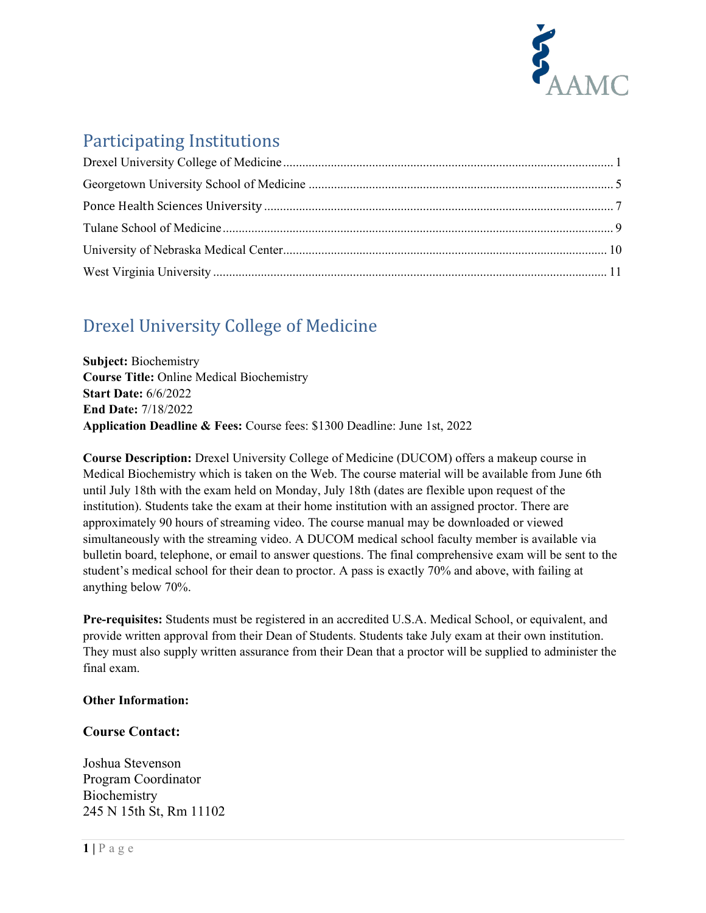

# Participating Institutions

# <span id="page-0-0"></span>Drexel University College of Medicine

**Subject:** Biochemistry **Course Title:** Online Medical Biochemistry **Start Date:** 6/6/2022 **End Date:** 7/18/2022 **Application Deadline & Fees:** Course fees: \$1300 Deadline: June 1st, 2022

**Course Description:** Drexel University College of Medicine (DUCOM) offers a makeup course in Medical Biochemistry which is taken on the Web. The course material will be available from June 6th until July 18th with the exam held on Monday, July 18th (dates are flexible upon request of the institution). Students take the exam at their home institution with an assigned proctor. There are approximately 90 hours of streaming video. The course manual may be downloaded or viewed simultaneously with the streaming video. A DUCOM medical school faculty member is available via bulletin board, telephone, or email to answer questions. The final comprehensive exam will be sent to the student's medical school for their dean to proctor. A pass is exactly 70% and above, with failing at anything below 70%.

**Pre-requisites:** Students must be registered in an accredited U.S.A. Medical School, or equivalent, and provide written approval from their Dean of Students. Students take July exam at their own institution. They must also supply written assurance from their Dean that a proctor will be supplied to administer the final exam.

### **Other Information:**

## **Course Contact:**

Joshua Stevenson Program Coordinator **Biochemistry** 245 N 15th St, Rm 11102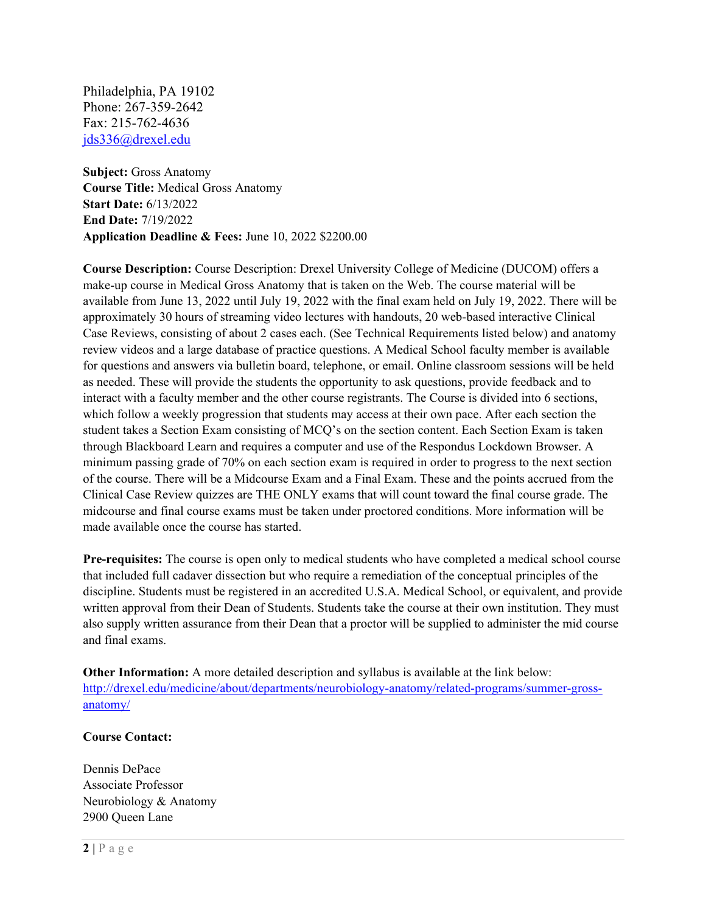Philadelphia, PA 19102 Phone: 267-359-2642 Fax: 215-762-4636 [jds336@drexel.edu](mailto:jds336@drexel.edu)

**Subject:** Gross Anatomy **Course Title:** Medical Gross Anatomy **Start Date:** 6/13/2022 **End Date:** 7/19/2022 **Application Deadline & Fees:** June 10, 2022 \$2200.00

**Course Description:** Course Description: Drexel University College of Medicine (DUCOM) offers a make-up course in Medical Gross Anatomy that is taken on the Web. The course material will be available from June 13, 2022 until July 19, 2022 with the final exam held on July 19, 2022. There will be approximately 30 hours of streaming video lectures with handouts, 20 web-based interactive Clinical Case Reviews, consisting of about 2 cases each. (See Technical Requirements listed below) and anatomy review videos and a large database of practice questions. A Medical School faculty member is available for questions and answers via bulletin board, telephone, or email. Online classroom sessions will be held as needed. These will provide the students the opportunity to ask questions, provide feedback and to interact with a faculty member and the other course registrants. The Course is divided into 6 sections, which follow a weekly progression that students may access at their own pace. After each section the student takes a Section Exam consisting of MCQ's on the section content. Each Section Exam is taken through Blackboard Learn and requires a computer and use of the Respondus Lockdown Browser. A minimum passing grade of 70% on each section exam is required in order to progress to the next section of the course. There will be a Midcourse Exam and a Final Exam. These and the points accrued from the Clinical Case Review quizzes are THE ONLY exams that will count toward the final course grade. The midcourse and final course exams must be taken under proctored conditions. More information will be made available once the course has started.

**Pre-requisites:** The course is open only to medical students who have completed a medical school course that included full cadaver dissection but who require a remediation of the conceptual principles of the discipline. Students must be registered in an accredited U.S.A. Medical School, or equivalent, and provide written approval from their Dean of Students. Students take the course at their own institution. They must also supply written assurance from their Dean that a proctor will be supplied to administer the mid course and final exams.

**Other Information:** A more detailed description and syllabus is available at the link below: [http://drexel.edu/medicine/about/departments/neurobiology-anatomy/related-programs/summer-gross](http://drexel.edu/medicine/about/departments/neurobiology-anatomy/related-programs/summer-gross-anatomy/)[anatomy/](http://drexel.edu/medicine/about/departments/neurobiology-anatomy/related-programs/summer-gross-anatomy/)

#### **Course Contact:**

Dennis DePace Associate Professor Neurobiology & Anatomy 2900 Queen Lane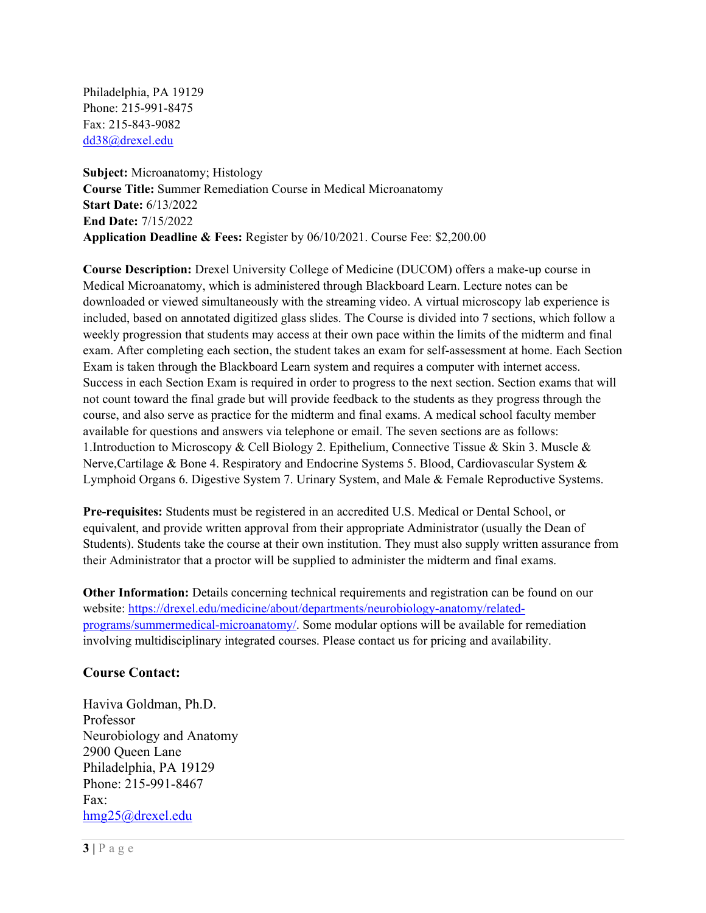Philadelphia, PA 19129 Phone: 215-991-8475 Fax: 215-843-9082 [dd38@drexel.edu](mailto:dd38@drexel.edu)

**Subject:** Microanatomy; Histology **Course Title:** Summer Remediation Course in Medical Microanatomy **Start Date:** 6/13/2022 **End Date:** 7/15/2022 **Application Deadline & Fees:** Register by 06/10/2021. Course Fee: \$2,200.00

**Course Description:** Drexel University College of Medicine (DUCOM) offers a make-up course in Medical Microanatomy, which is administered through Blackboard Learn. Lecture notes can be downloaded or viewed simultaneously with the streaming video. A virtual microscopy lab experience is included, based on annotated digitized glass slides. The Course is divided into 7 sections, which follow a weekly progression that students may access at their own pace within the limits of the midterm and final exam. After completing each section, the student takes an exam for self-assessment at home. Each Section Exam is taken through the Blackboard Learn system and requires a computer with internet access. Success in each Section Exam is required in order to progress to the next section. Section exams that will not count toward the final grade but will provide feedback to the students as they progress through the course, and also serve as practice for the midterm and final exams. A medical school faculty member available for questions and answers via telephone or email. The seven sections are as follows: 1.Introduction to Microscopy & Cell Biology 2. Epithelium, Connective Tissue & Skin 3. Muscle & Nerve,Cartilage & Bone 4. Respiratory and Endocrine Systems 5. Blood, Cardiovascular System & Lymphoid Organs 6. Digestive System 7. Urinary System, and Male & Female Reproductive Systems.

**Pre-requisites:** Students must be registered in an accredited U.S. Medical or Dental School, or equivalent, and provide written approval from their appropriate Administrator (usually the Dean of Students). Students take the course at their own institution. They must also supply written assurance from their Administrator that a proctor will be supplied to administer the midterm and final exams.

**Other Information:** Details concerning technical requirements and registration can be found on our website: [https://drexel.edu/medicine/about/departments/neurobiology-anatomy/related](https://drexel.edu/medicine/about/departments/neurobiology-anatomy/related-programs/summermedical-microanatomy/)[programs/summermedical-microanatomy/.](https://drexel.edu/medicine/about/departments/neurobiology-anatomy/related-programs/summermedical-microanatomy/) Some modular options will be available for remediation involving multidisciplinary integrated courses. Please contact us for pricing and availability.

### **Course Contact:**

Haviva Goldman, Ph.D. Professor Neurobiology and Anatomy 2900 Queen Lane Philadelphia, PA 19129 Phone: 215-991-8467 Fax: [hmg25@drexel.edu](mailto:hmg25@drexel.edu)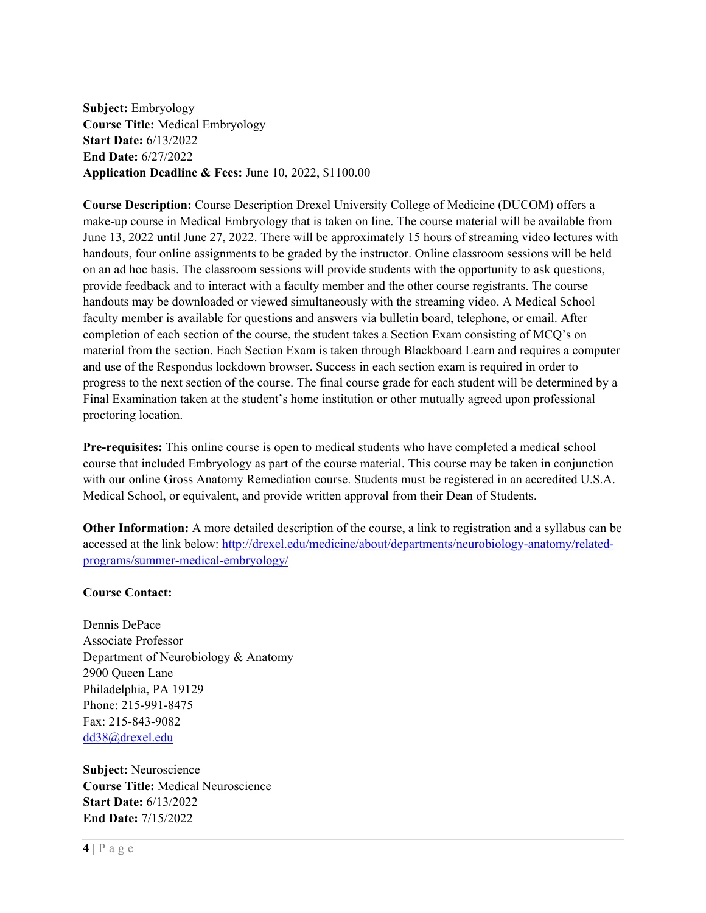**Subject:** Embryology **Course Title:** Medical Embryology **Start Date:** 6/13/2022 **End Date:** 6/27/2022 **Application Deadline & Fees:** June 10, 2022, \$1100.00

**Course Description:** Course Description Drexel University College of Medicine (DUCOM) offers a make-up course in Medical Embryology that is taken on line. The course material will be available from June 13, 2022 until June 27, 2022. There will be approximately 15 hours of streaming video lectures with handouts, four online assignments to be graded by the instructor. Online classroom sessions will be held on an ad hoc basis. The classroom sessions will provide students with the opportunity to ask questions, provide feedback and to interact with a faculty member and the other course registrants. The course handouts may be downloaded or viewed simultaneously with the streaming video. A Medical School faculty member is available for questions and answers via bulletin board, telephone, or email. After completion of each section of the course, the student takes a Section Exam consisting of MCQ's on material from the section. Each Section Exam is taken through Blackboard Learn and requires a computer and use of the Respondus lockdown browser. Success in each section exam is required in order to progress to the next section of the course. The final course grade for each student will be determined by a Final Examination taken at the student's home institution or other mutually agreed upon professional proctoring location.

**Pre-requisites:** This online course is open to medical students who have completed a medical school course that included Embryology as part of the course material. This course may be taken in conjunction with our online Gross Anatomy Remediation course. Students must be registered in an accredited U.S.A. Medical School, or equivalent, and provide written approval from their Dean of Students.

**Other Information:** A more detailed description of the course, a link to registration and a syllabus can be accessed at the link below: [http://drexel.edu/medicine/about/departments/neurobiology-anatomy/related](http://drexel.edu/medicine/about/departments/neurobiology-anatomy/related-programs/summer-medical-embryology/)[programs/summer-medical-embryology/](http://drexel.edu/medicine/about/departments/neurobiology-anatomy/related-programs/summer-medical-embryology/)

#### **Course Contact:**

Dennis DePace Associate Professor Department of Neurobiology & Anatomy 2900 Queen Lane Philadelphia, PA 19129 Phone: 215-991-8475 Fax: 215-843-9082 [dd38@drexel.edu](mailto:dd38@drexel.edu)

**Subject:** Neuroscience **Course Title:** Medical Neuroscience **Start Date:** 6/13/2022 **End Date:** 7/15/2022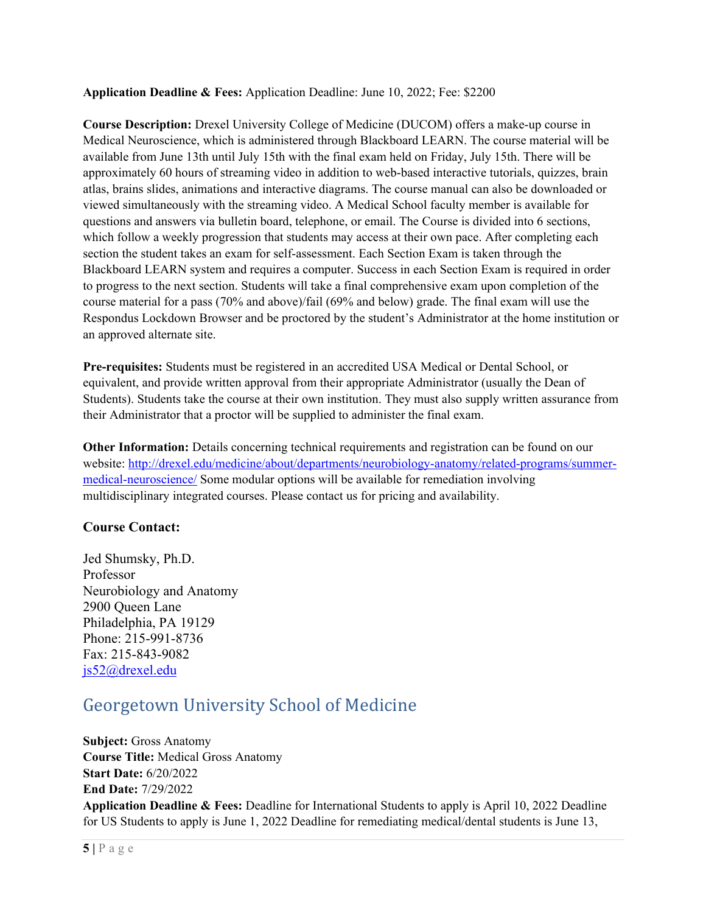**Application Deadline & Fees:** Application Deadline: June 10, 2022; Fee: \$2200

**Course Description:** Drexel University College of Medicine (DUCOM) offers a make-up course in Medical Neuroscience, which is administered through Blackboard LEARN. The course material will be available from June 13th until July 15th with the final exam held on Friday, July 15th. There will be approximately 60 hours of streaming video in addition to web-based interactive tutorials, quizzes, brain atlas, brains slides, animations and interactive diagrams. The course manual can also be downloaded or viewed simultaneously with the streaming video. A Medical School faculty member is available for questions and answers via bulletin board, telephone, or email. The Course is divided into 6 sections, which follow a weekly progression that students may access at their own pace. After completing each section the student takes an exam for self-assessment. Each Section Exam is taken through the Blackboard LEARN system and requires a computer. Success in each Section Exam is required in order to progress to the next section. Students will take a final comprehensive exam upon completion of the course material for a pass (70% and above)/fail (69% and below) grade. The final exam will use the Respondus Lockdown Browser and be proctored by the student's Administrator at the home institution or an approved alternate site.

**Pre-requisites:** Students must be registered in an accredited USA Medical or Dental School, or equivalent, and provide written approval from their appropriate Administrator (usually the Dean of Students). Students take the course at their own institution. They must also supply written assurance from their Administrator that a proctor will be supplied to administer the final exam.

**Other Information:** Details concerning technical requirements and registration can be found on our website: [http://drexel.edu/medicine/about/departments/neurobiology-anatomy/related-programs/summer](http://drexel.edu/medicine/about/departments/neurobiology-anatomy/related-programs/summer-medical-neuroscience/)[medical-neuroscience/](http://drexel.edu/medicine/about/departments/neurobiology-anatomy/related-programs/summer-medical-neuroscience/) Some modular options will be available for remediation involving multidisciplinary integrated courses. Please contact us for pricing and availability.

## **Course Contact:**

Jed Shumsky, Ph.D. Professor Neurobiology and Anatomy 2900 Queen Lane Philadelphia, PA 19129 Phone: 215-991-8736 Fax: 215-843-9082 [js52@drexel.edu](mailto:js52@drexel.edu)

## <span id="page-4-0"></span>Georgetown University School of Medicine

**Subject:** Gross Anatomy **Course Title:** Medical Gross Anatomy **Start Date:** 6/20/2022 **End Date:** 7/29/2022 **Application Deadline & Fees:** Deadline for International Students to apply is April 10, 2022 Deadline for US Students to apply is June 1, 2022 Deadline for remediating medical/dental students is June 13,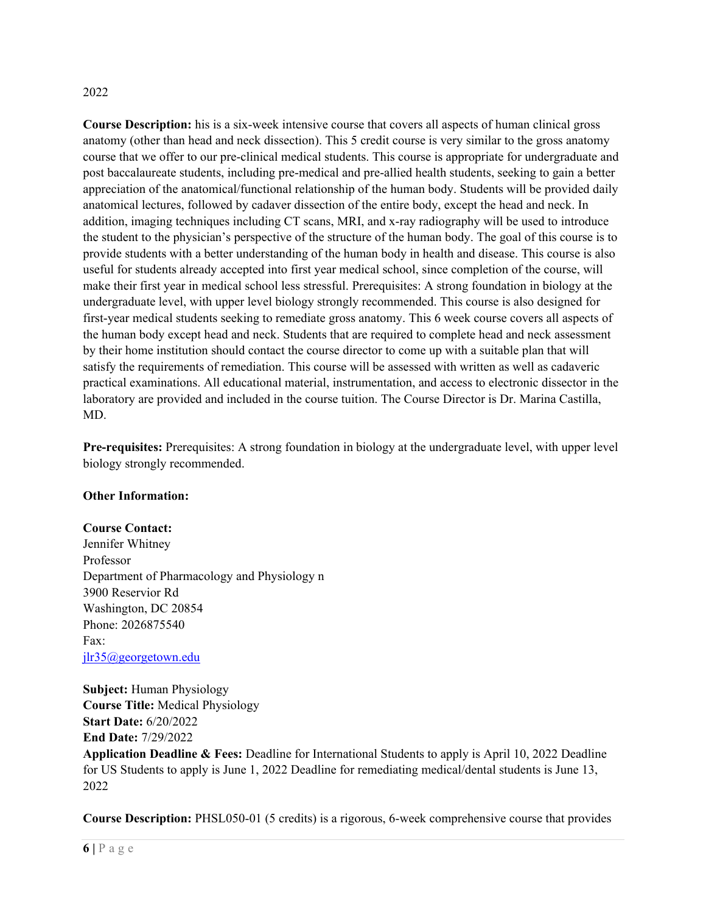#### 2022

**Course Description:** his is a six-week intensive course that covers all aspects of human clinical gross anatomy (other than head and neck dissection). This 5 credit course is very similar to the gross anatomy course that we offer to our pre-clinical medical students. This course is appropriate for undergraduate and post baccalaureate students, including pre-medical and pre-allied health students, seeking to gain a better appreciation of the anatomical/functional relationship of the human body. Students will be provided daily anatomical lectures, followed by cadaver dissection of the entire body, except the head and neck. In addition, imaging techniques including CT scans, MRI, and x-ray radiography will be used to introduce the student to the physician's perspective of the structure of the human body. The goal of this course is to provide students with a better understanding of the human body in health and disease. This course is also useful for students already accepted into first year medical school, since completion of the course, will make their first year in medical school less stressful. Prerequisites: A strong foundation in biology at the undergraduate level, with upper level biology strongly recommended. This course is also designed for first-year medical students seeking to remediate gross anatomy. This 6 week course covers all aspects of the human body except head and neck. Students that are required to complete head and neck assessment by their home institution should contact the course director to come up with a suitable plan that will satisfy the requirements of remediation. This course will be assessed with written as well as cadaveric practical examinations. All educational material, instrumentation, and access to electronic dissector in the laboratory are provided and included in the course tuition. The Course Director is Dr. Marina Castilla, MD.

**Pre-requisites:** Prerequisites: A strong foundation in biology at the undergraduate level, with upper level biology strongly recommended.

#### **Other Information:**

#### **Course Contact:**

Jennifer Whitney Professor Department of Pharmacology and Physiology n 3900 Reservior Rd Washington, DC 20854 Phone: 2026875540 Fax: [jlr35@georgetown.edu](mailto:jlr35@georgetown.edu)

**Subject:** Human Physiology **Course Title:** Medical Physiology **Start Date:** 6/20/2022 **End Date:** 7/29/2022

**Application Deadline & Fees:** Deadline for International Students to apply is April 10, 2022 Deadline for US Students to apply is June 1, 2022 Deadline for remediating medical/dental students is June 13, 2022

**Course Description:** PHSL050-01 (5 credits) is a rigorous, 6-week comprehensive course that provides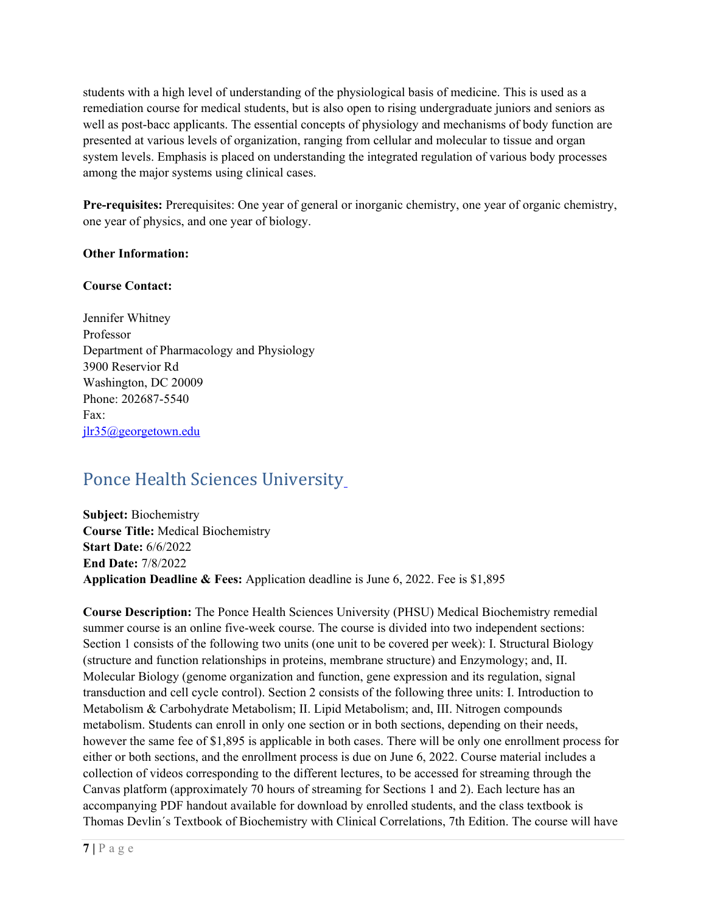students with a high level of understanding of the physiological basis of medicine. This is used as a remediation course for medical students, but is also open to rising undergraduate juniors and seniors as well as post-bacc applicants. The essential concepts of physiology and mechanisms of body function are presented at various levels of organization, ranging from cellular and molecular to tissue and organ system levels. Emphasis is placed on understanding the integrated regulation of various body processes among the major systems using clinical cases.

**Pre-requisites:** Prerequisites: One year of general or inorganic chemistry, one year of organic chemistry, one year of physics, and one year of biology.

### **Other Information:**

### **Course Contact:**

Jennifer Whitney Professor Department of Pharmacology and Physiology 3900 Reservior Rd Washington, DC 20009 Phone: 202687-5540 Fax: [jlr35@georgetown.edu](mailto:jlr35@georgetown.edu)

# <span id="page-6-0"></span>Ponce Health Sciences University

**Subject:** Biochemistry **Course Title:** Medical Biochemistry **Start Date:** 6/6/2022 **End Date:** 7/8/2022 **Application Deadline & Fees:** Application deadline is June 6, 2022. Fee is \$1,895

**Course Description:** The Ponce Health Sciences University (PHSU) Medical Biochemistry remedial summer course is an online five-week course. The course is divided into two independent sections: Section 1 consists of the following two units (one unit to be covered per week): I. Structural Biology (structure and function relationships in proteins, membrane structure) and Enzymology; and, II. Molecular Biology (genome organization and function, gene expression and its regulation, signal transduction and cell cycle control). Section 2 consists of the following three units: I. Introduction to Metabolism & Carbohydrate Metabolism; II. Lipid Metabolism; and, III. Nitrogen compounds metabolism. Students can enroll in only one section or in both sections, depending on their needs, however the same fee of \$1,895 is applicable in both cases. There will be only one enrollment process for either or both sections, and the enrollment process is due on June 6, 2022. Course material includes a collection of videos corresponding to the different lectures, to be accessed for streaming through the Canvas platform (approximately 70 hours of streaming for Sections 1 and 2). Each lecture has an accompanying PDF handout available for download by enrolled students, and the class textbook is Thomas Devlin´s Textbook of Biochemistry with Clinical Correlations, 7th Edition. The course will have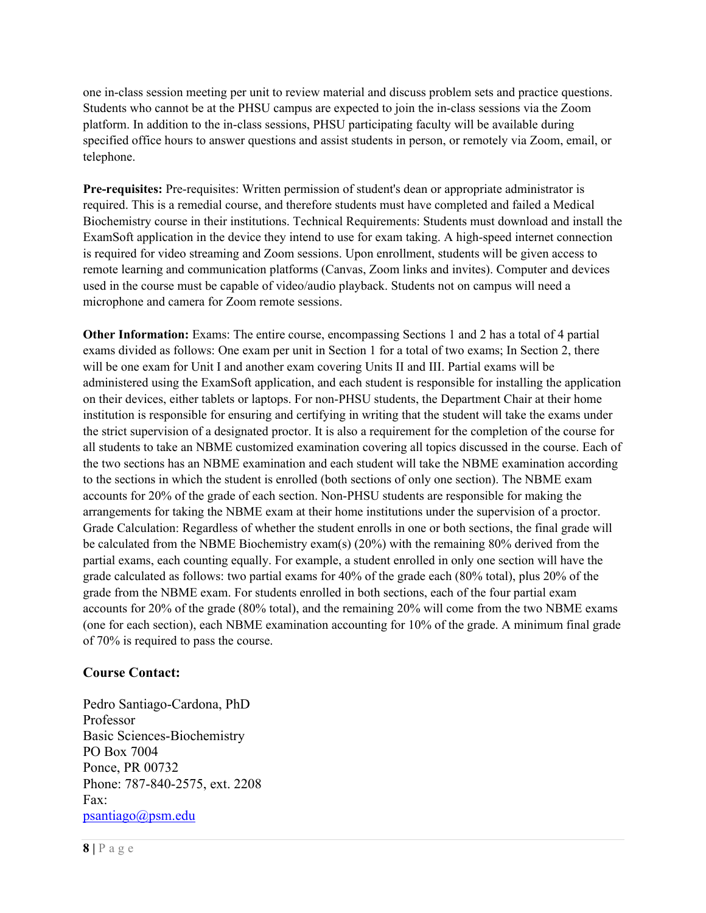one in-class session meeting per unit to review material and discuss problem sets and practice questions. Students who cannot be at the PHSU campus are expected to join the in-class sessions via the Zoom platform. In addition to the in-class sessions, PHSU participating faculty will be available during specified office hours to answer questions and assist students in person, or remotely via Zoom, email, or telephone.

**Pre-requisites:** Pre-requisites: Written permission of student's dean or appropriate administrator is required. This is a remedial course, and therefore students must have completed and failed a Medical Biochemistry course in their institutions. Technical Requirements: Students must download and install the ExamSoft application in the device they intend to use for exam taking. A high-speed internet connection is required for video streaming and Zoom sessions. Upon enrollment, students will be given access to remote learning and communication platforms (Canvas, Zoom links and invites). Computer and devices used in the course must be capable of video/audio playback. Students not on campus will need a microphone and camera for Zoom remote sessions.

**Other Information:** Exams: The entire course, encompassing Sections 1 and 2 has a total of 4 partial exams divided as follows: One exam per unit in Section 1 for a total of two exams; In Section 2, there will be one exam for Unit I and another exam covering Units II and III. Partial exams will be administered using the ExamSoft application, and each student is responsible for installing the application on their devices, either tablets or laptops. For non-PHSU students, the Department Chair at their home institution is responsible for ensuring and certifying in writing that the student will take the exams under the strict supervision of a designated proctor. It is also a requirement for the completion of the course for all students to take an NBME customized examination covering all topics discussed in the course. Each of the two sections has an NBME examination and each student will take the NBME examination according to the sections in which the student is enrolled (both sections of only one section). The NBME exam accounts for 20% of the grade of each section. Non-PHSU students are responsible for making the arrangements for taking the NBME exam at their home institutions under the supervision of a proctor. Grade Calculation: Regardless of whether the student enrolls in one or both sections, the final grade will be calculated from the NBME Biochemistry exam(s) (20%) with the remaining 80% derived from the partial exams, each counting equally. For example, a student enrolled in only one section will have the grade calculated as follows: two partial exams for 40% of the grade each (80% total), plus 20% of the grade from the NBME exam. For students enrolled in both sections, each of the four partial exam accounts for 20% of the grade (80% total), and the remaining 20% will come from the two NBME exams (one for each section), each NBME examination accounting for 10% of the grade. A minimum final grade of 70% is required to pass the course.

## **Course Contact:**

Pedro Santiago-Cardona, PhD Professor Basic Sciences-Biochemistry PO Box 7004 Ponce, PR 00732 Phone: 787-840-2575, ext. 2208 Fax: [psantiago@psm.edu](mailto:psantiago@psm.edu)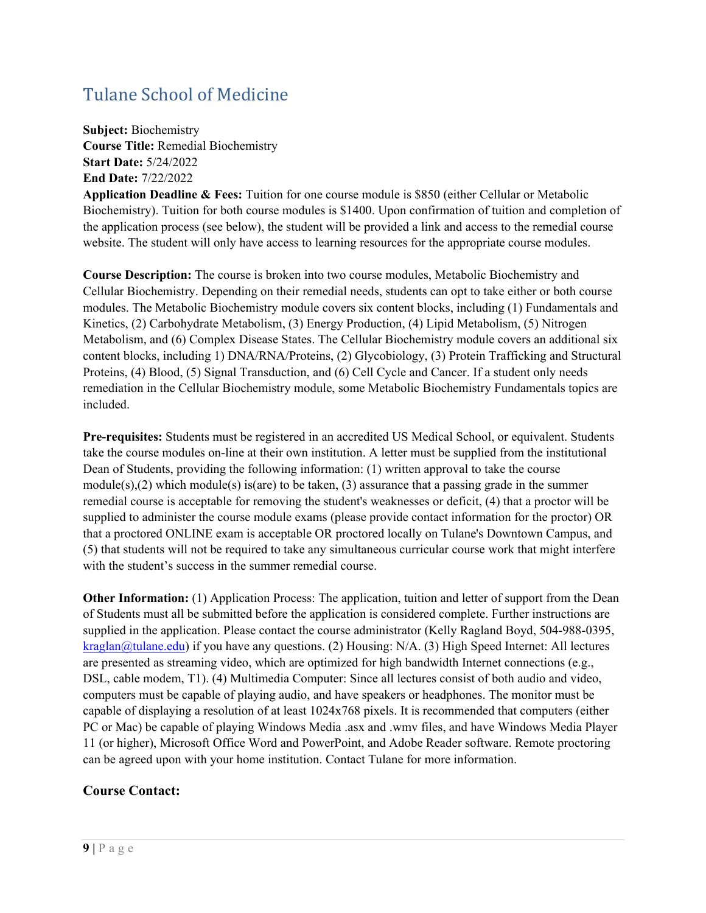# <span id="page-8-0"></span>Tulane School of Medicine

**Subject:** Biochemistry **Course Title:** Remedial Biochemistry **Start Date:** 5/24/2022 **End Date:** 7/22/2022

**Application Deadline & Fees:** Tuition for one course module is \$850 (either Cellular or Metabolic Biochemistry). Tuition for both course modules is \$1400. Upon confirmation of tuition and completion of the application process (see below), the student will be provided a link and access to the remedial course website. The student will only have access to learning resources for the appropriate course modules.

**Course Description:** The course is broken into two course modules, Metabolic Biochemistry and Cellular Biochemistry. Depending on their remedial needs, students can opt to take either or both course modules. The Metabolic Biochemistry module covers six content blocks, including (1) Fundamentals and Kinetics, (2) Carbohydrate Metabolism, (3) Energy Production, (4) Lipid Metabolism, (5) Nitrogen Metabolism, and (6) Complex Disease States. The Cellular Biochemistry module covers an additional six content blocks, including 1) DNA/RNA/Proteins, (2) Glycobiology, (3) Protein Trafficking and Structural Proteins, (4) Blood, (5) Signal Transduction, and (6) Cell Cycle and Cancer. If a student only needs remediation in the Cellular Biochemistry module, some Metabolic Biochemistry Fundamentals topics are included.

**Pre-requisites:** Students must be registered in an accredited US Medical School, or equivalent. Students take the course modules on-line at their own institution. A letter must be supplied from the institutional Dean of Students, providing the following information: (1) written approval to take the course module(s),(2) which module(s) is(are) to be taken, (3) assurance that a passing grade in the summer remedial course is acceptable for removing the student's weaknesses or deficit, (4) that a proctor will be supplied to administer the course module exams (please provide contact information for the proctor) OR that a proctored ONLINE exam is acceptable OR proctored locally on Tulane's Downtown Campus, and (5) that students will not be required to take any simultaneous curricular course work that might interfere with the student's success in the summer remedial course.

**Other Information:** (1) Application Process: The application, tuition and letter of support from the Dean of Students must all be submitted before the application is considered complete. Further instructions are supplied in the application. Please contact the course administrator (Kelly Ragland Boyd, 504-988-0395, [kraglan@tulane.edu\)](mailto:kraglan@tulane.edu) if you have any questions. (2) Housing: N/A. (3) High Speed Internet: All lectures are presented as streaming video, which are optimized for high bandwidth Internet connections (e.g., DSL, cable modem, T1). (4) Multimedia Computer: Since all lectures consist of both audio and video, computers must be capable of playing audio, and have speakers or headphones. The monitor must be capable of displaying a resolution of at least 1024x768 pixels. It is recommended that computers (either PC or Mac) be capable of playing Windows Media .asx and .wmv files, and have Windows Media Player 11 (or higher), Microsoft Office Word and PowerPoint, and Adobe Reader software. Remote proctoring can be agreed upon with your home institution. Contact Tulane for more information.

## **Course Contact:**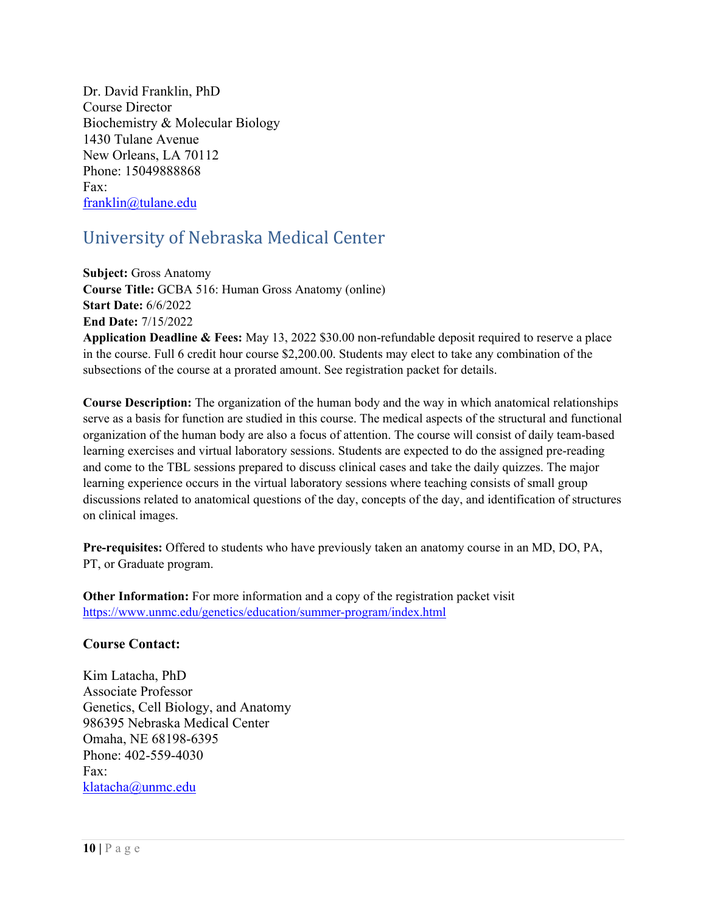Dr. David Franklin, PhD Course Director Biochemistry & Molecular Biology 1430 Tulane Avenue New Orleans, LA 70112 Phone: 15049888868 Fax: [franklin@tulane.edu](mailto:franklin@tulane.edu)

# <span id="page-9-0"></span>University of Nebraska Medical Center

**Subject:** Gross Anatomy **Course Title:** GCBA 516: Human Gross Anatomy (online) **Start Date:** 6/6/2022 **End Date:** 7/15/2022 **Application Deadline & Fees:** May 13, 2022 \$30.00 non-refundable deposit required to reserve a place

in the course. Full 6 credit hour course \$2,200.00. Students may elect to take any combination of the subsections of the course at a prorated amount. See registration packet for details.

**Course Description:** The organization of the human body and the way in which anatomical relationships serve as a basis for function are studied in this course. The medical aspects of the structural and functional organization of the human body are also a focus of attention. The course will consist of daily team-based learning exercises and virtual laboratory sessions. Students are expected to do the assigned pre-reading and come to the TBL sessions prepared to discuss clinical cases and take the daily quizzes. The major learning experience occurs in the virtual laboratory sessions where teaching consists of small group discussions related to anatomical questions of the day, concepts of the day, and identification of structures on clinical images.

**Pre-requisites:** Offered to students who have previously taken an anatomy course in an MD, DO, PA, PT, or Graduate program.

**Other Information:** For more information and a copy of the registration packet visit <https://www.unmc.edu/genetics/education/summer-program/index.html>

## **Course Contact:**

Kim Latacha, PhD Associate Professor Genetics, Cell Biology, and Anatomy 986395 Nebraska Medical Center Omaha, NE 68198-6395 Phone: 402-559-4030  $Fax$ [klatacha@unmc.edu](mailto:klatacha@unmc.edu)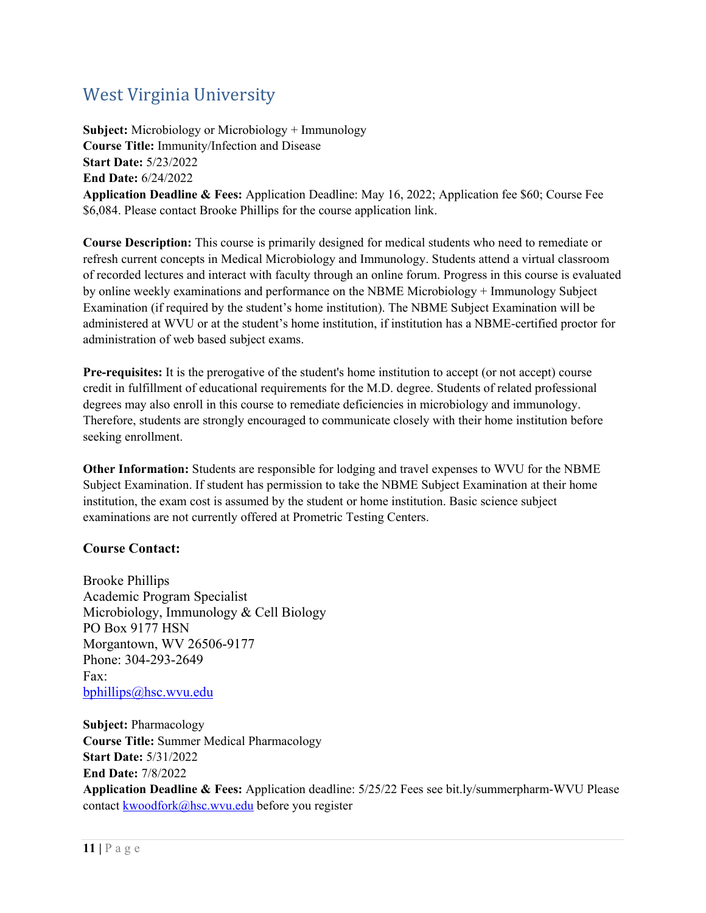# <span id="page-10-0"></span>West Virginia University

**Subject:** Microbiology or Microbiology + Immunology **Course Title:** Immunity/Infection and Disease **Start Date:** 5/23/2022 **End Date:** 6/24/2022 **Application Deadline & Fees:** Application Deadline: May 16, 2022; Application fee \$60; Course Fee \$6,084. Please contact Brooke Phillips for the course application link.

**Course Description:** This course is primarily designed for medical students who need to remediate or refresh current concepts in Medical Microbiology and Immunology. Students attend a virtual classroom of recorded lectures and interact with faculty through an online forum. Progress in this course is evaluated by online weekly examinations and performance on the NBME Microbiology + Immunology Subject Examination (if required by the student's home institution). The NBME Subject Examination will be administered at WVU or at the student's home institution, if institution has a NBME-certified proctor for administration of web based subject exams.

**Pre-requisites:** It is the prerogative of the student's home institution to accept (or not accept) course credit in fulfillment of educational requirements for the M.D. degree. Students of related professional degrees may also enroll in this course to remediate deficiencies in microbiology and immunology. Therefore, students are strongly encouraged to communicate closely with their home institution before seeking enrollment.

**Other Information:** Students are responsible for lodging and travel expenses to WVU for the NBME Subject Examination. If student has permission to take the NBME Subject Examination at their home institution, the exam cost is assumed by the student or home institution. Basic science subject examinations are not currently offered at Prometric Testing Centers.

## **Course Contact:**

Brooke Phillips Academic Program Specialist Microbiology, Immunology & Cell Biology PO Box 9177 HSN Morgantown, WV 26506-9177 Phone: 304-293-2649 Fax: [bphillips@hsc.wvu.edu](mailto:bphillips@hsc.wvu.edu)

**Subject:** Pharmacology **Course Title:** Summer Medical Pharmacology **Start Date:** 5/31/2022 **End Date:** 7/8/2022 **Application Deadline & Fees:** Application deadline: 5/25/22 Fees see bit.ly/summerpharm-WVU Please contact [kwoodfork@hsc.wvu.edu](mailto:kwoodfork@hsc.wvu.edu) before you register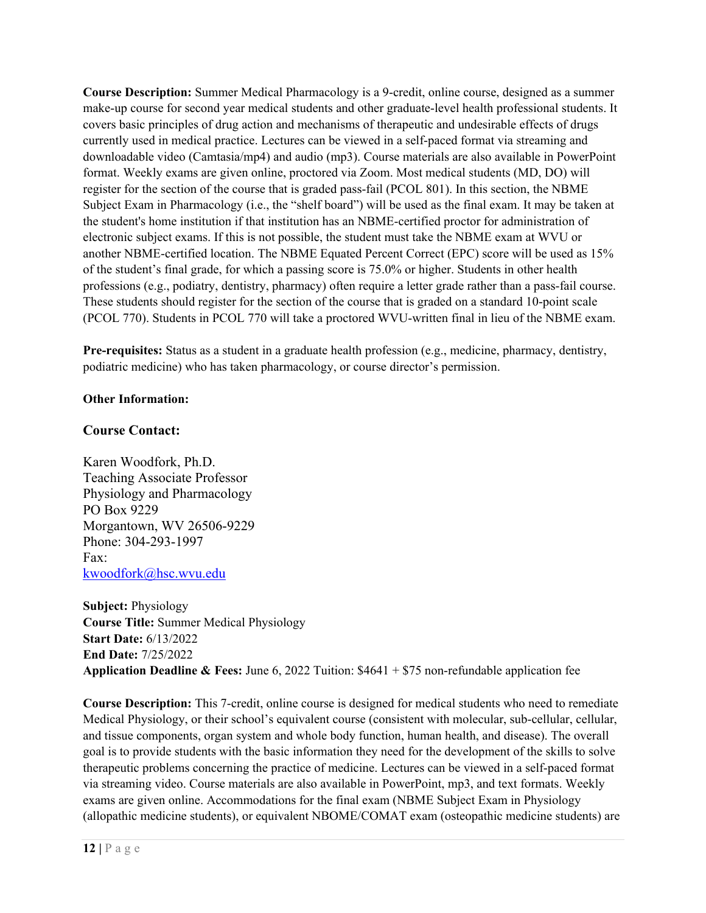**Course Description:** Summer Medical Pharmacology is a 9-credit, online course, designed as a summer make-up course for second year medical students and other graduate-level health professional students. It covers basic principles of drug action and mechanisms of therapeutic and undesirable effects of drugs currently used in medical practice. Lectures can be viewed in a self-paced format via streaming and downloadable video (Camtasia/mp4) and audio (mp3). Course materials are also available in PowerPoint format. Weekly exams are given online, proctored via Zoom. Most medical students (MD, DO) will register for the section of the course that is graded pass-fail (PCOL 801). In this section, the NBME Subject Exam in Pharmacology (i.e., the "shelf board") will be used as the final exam. It may be taken at the student's home institution if that institution has an NBME-certified proctor for administration of electronic subject exams. If this is not possible, the student must take the NBME exam at WVU or another NBME-certified location. The NBME Equated Percent Correct (EPC) score will be used as 15% of the student's final grade, for which a passing score is 75.0% or higher. Students in other health professions (e.g., podiatry, dentistry, pharmacy) often require a letter grade rather than a pass-fail course. These students should register for the section of the course that is graded on a standard 10-point scale (PCOL 770). Students in PCOL 770 will take a proctored WVU-written final in lieu of the NBME exam.

**Pre-requisites:** Status as a student in a graduate health profession (e.g., medicine, pharmacy, dentistry, podiatric medicine) who has taken pharmacology, or course director's permission.

### **Other Information:**

### **Course Contact:**

Karen Woodfork, Ph.D. Teaching Associate Professor Physiology and Pharmacology PO Box 9229 Morgantown, WV 26506-9229 Phone: 304-293-1997 Fax: [kwoodfork@hsc.wvu.edu](mailto:kwoodfork@hsc.wvu.edu)

**Subject:** Physiology **Course Title:** Summer Medical Physiology **Start Date:** 6/13/2022 **End Date:** 7/25/2022 **Application Deadline & Fees:** June 6, 2022 Tuition: \$4641 + \$75 non-refundable application fee

**Course Description:** This 7-credit, online course is designed for medical students who need to remediate Medical Physiology, or their school's equivalent course (consistent with molecular, sub-cellular, cellular, and tissue components, organ system and whole body function, human health, and disease). The overall goal is to provide students with the basic information they need for the development of the skills to solve therapeutic problems concerning the practice of medicine. Lectures can be viewed in a self-paced format via streaming video. Course materials are also available in PowerPoint, mp3, and text formats. Weekly exams are given online. Accommodations for the final exam (NBME Subject Exam in Physiology (allopathic medicine students), or equivalent NBOME/COMAT exam (osteopathic medicine students) are